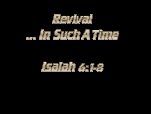

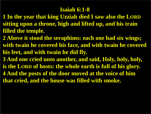#### **Isaiah 6:1-8**

- **1 In the year that king Uzziah died I saw also the LORD sitting upon a throne, high and lifted up, and his train filled the temple.**
- **2 Above it stood the seraphims: each one had six wings; with twain he covered his face, and with twain he covered his feet, and with twain he did fly.**
- **3 And one cried unto another, and said, Holy, holy, holy, is the LORD of hosts: the whole earth is full of his glory. 4 And the posts of the door moved at the voice of him that cried, and the house was filled with smoke.**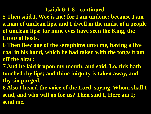#### **Isaiah 6:1-8 - continued**

**5 Then said I, Woe is me! for I am undone; because I am a man of unclean lips, and I dwell in the midst of a people of unclean lips: for mine eyes have seen the King, the LORD of hosts.**

- **6 Then flew one of the seraphims unto me, having a live coal in his hand, which he had taken with the tongs from off the altar:**
- **7 And he laid it upon my mouth, and said, Lo, this hath touched thy lips; and thine iniquity is taken away, and thy sin purged.**
- **8 Also I heard the voice of the Lord, saying, Whom shall I send, and who will go for us? Then said I, Here am I; send me.**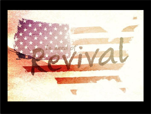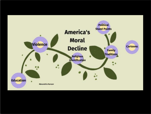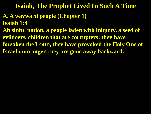#### **Isaiah, The Prophet Lived In Such A Time**

#### **A. A wayward people (Chapter 1) Isaiah 1:4**

**Ah sinful nation, a people laden with iniquity, a seed of evildoers, children that are corrupters: they have forsaken the LORD, they have provoked the Holy One of Israel unto anger, they are gone away backward.**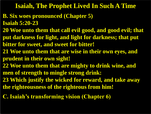#### **Isaiah, The Prophet Lived In Such A Time**

- **B. Six woes pronounced (Chapter 5) Isaiah 5:20-23**
- **20 Woe unto them that call evil good, and good evil; that put darkness for light, and light for darkness; that put bitter for sweet, and sweet for bitter!**
- **21 Woe unto them that are wise in their own eyes, and prudent in their own sight!**
- **22 Woe unto them that are mighty to drink wine, and men of strength to mingle strong drink:**
- **23 Which justify the wicked for reward, and take away the righteousness of the righteous from him!**
- **C. Isaiah's transforming vision (Chapter 6)**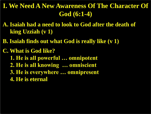# **I. We Need A New Awareness Of The Character Of God (6:1-4)**

- **A. Isaiah had a need to look to God after the death of king Uzziah (v 1)**
- **B. Isaiah finds out what God is really like (v 1)**
- **C. What is God like? 1. He is all powerful … omnipotent 2. He is all knowing … omniscient 3. He is everywhere … omnipresent 4. He is eternal**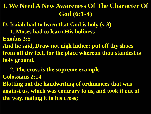### **I. We Need A New Awareness Of The Character Of God (6:1-4)**

**D. Isaiah had to learn that God is holy (v 3)**

 **1. Moses had to learn His holiness**

**Exodus 3:5**

**And he said, Draw not nigh hither: put off thy shoes from off thy feet, for the place whereon thou standest is holy ground.**

 **2. The cross is the supreme example Colossians 2:14 Blotting out the handwriting of ordinances that was against us, which was contrary to us, and took it out of the way, nailing it to his cross;**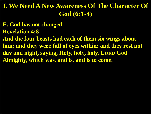## **I. We Need A New Awareness Of The Character Of God (6:1-4)**

**E. God has not changed Revelation 4:8 And the four beasts had each of them six wings about him; and they were full of eyes within: and they rest not day and night, saying, Holy, holy, holy, LORD God Almighty, which was, and is, and is to come.**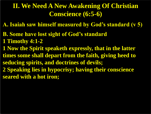## **II. We Need A New Awakening Of Christian Conscience (6:5-6)**

- **A. Isaiah saw himself measured by God's standard (v 5)**
- **B. Some have lost sight of God's standard**
- **1 Timothy 4:1-2**
- **1 Now the Spirit speaketh expressly, that in the latter times some shall depart from the faith, giving heed to seducing spirits, and doctrines of devils;**
- **2 Speaking lies in hypocrisy; having their conscience seared with a hot iron;**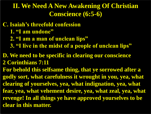### **II. We Need A New Awakening Of Christian Conscience (6:5-6)**

**C. Isaiah's threefold confession**

- **1. "I am undone"**
- **2. "I am a man of unclean lips"**
- **3. "I live in the midst of a people of unclean lips"**

#### **D. We need to be specific in clearing our conscience 2 Corinthians 7:11**

**For behold this selfsame thing, that ye sorrowed after a godly sort, what carefulness it wrought in you, yea, what clearing of yourselves, yea, what indignation, yea, what fear, yea, what vehement desire, yea, what zeal, yea, what revenge! In all things ye have approved yourselves to be clear in this matter.**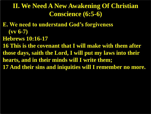## **II. We Need A New Awakening Of Christian Conscience (6:5-6)**

- **E. We need to understand God's forgiveness (vv 6-7)**
- **Hebrews 10:16-17**

**16 This is the covenant that I will make with them after those days, saith the Lord, I will put my laws into their hearts, and in their minds will I write them; 17 And their sins and iniquities will I remember no more.**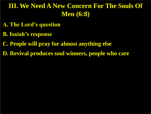# **III. We Need A New Concern For The Souls Of Men (6:8)**

- **A. The Lord's question**
- **B. Isaiah's response**
- **C. People will pray for almost anything else**
- **D. Revival produces soul winners, people who care**